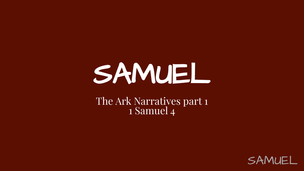# SAMUEL

#### The Ark Narratives part 1 1 Samuel 4

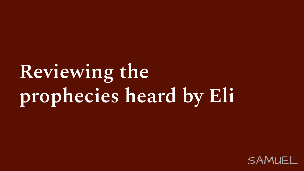## **Reviewing the prophecies heard by Eli**

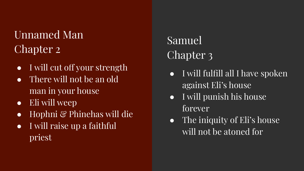#### Unnamed Man Chapter 2

- I will cut off your strength
- $\bullet$  There will not be an old man in your house
- Eli will weep
- Hophni & Phinehas will die
- I will raise up a faithful priest

#### Samuel Chapter 3

- I will fulfill all I have spoken against Eli's house
- I will punish his house forever
- The iniquity of Eli's house will not be atoned for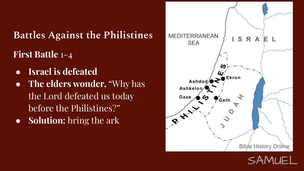**Battles Against the Philistines First Battle** 1-4

- **● Israel is defeated**
- **The elders wonder,** "Why has the Lord defeated us today before the Philistines?"
- **Solution:** bring the ark



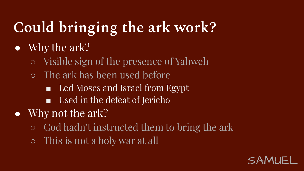## **Could bringing the ark work?**

#### • Why the ark?

- Visible sign of the presence of Yahweh
- The ark has been used before
	- Led Moses and Israel from Egypt
	- Used in the defeat of Jericho
- Why not the ark?
	- God hadn't instructed them to bring the ark
	- This is not a holy war at all

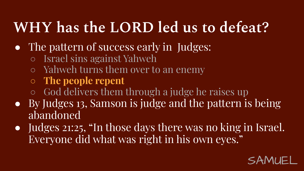### **WHY has the LORD led us to defeat?**

- The pattern of success early in Judges:
	- Israel sins against Yahweh
	- Yahweh turns them over to an enemy
	- **○ The people repent**
	- God delivers them through a judge he raises up
- By Judges 13, Samson is judge and the pattern is being abandoned
- Judges 21:25, "In those days there was no king in Israel. Everyone did what was right in his own eyes."

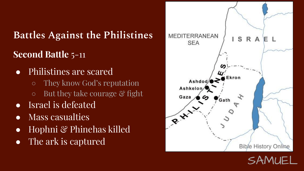#### **Battles Against the Philistines Second Battle** 5-11

- Philistines are scared
	- They know God's reputation  $\circ$  But they take courage  $\circ$  fight
- Israel is defeated
- Mass casualties
- Hophni & Phinehas killed
- The ark is captured



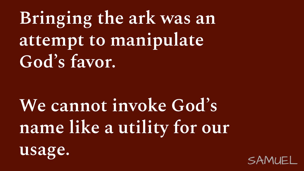**Bringing the ark was an attempt to manipulate God's favor.**

**We cannot invoke God's name like a utility for our** 



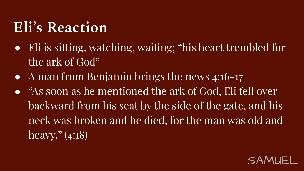### **Eli's Reaction**

- Eli is sitting, watching, waiting; "his heart trembled for the ark of God"
- A man from Benjamin brings the news 4:16-17
- "As soon as he mentioned the ark of God, Eli fell over backward from his seat by the side of the gate, and his neck was broken and he died, for the man was old and heavy." (4:18)

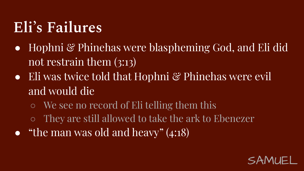### **Eli's Failures**

- Hophni & Phinehas were blaspheming God, and Eli did not restrain them (3:13)
- Eli was twice told that Hophni & Phinehas were evil and would die
	- We see no record of Eli telling them this
	- They are still allowed to take the ark to Ebenezer
- "the man was old and heavy"  $(4:18)$

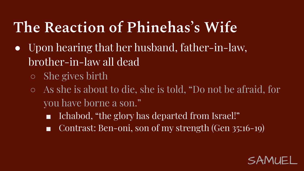### **The Reaction of Phinehas's Wife**

- Upon hearing that her husband, father-in-law, brother-in-law all dead
	- She gives birth
	- As she is about to die, she is told, "Do not be afraid, for you have borne a son."
		- Ichabod, "the glory has departed from Israel!"
		- Contrast: Ben-oni, son of my strength (Gen 35:16-19)

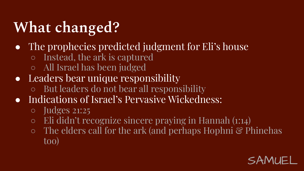### **What changed?**

- The prophecies predicted judgment for Eli's house
	- Instead, the ark is captured
	- All Israel has been judged
- Leaders bear unique responsibility
	- But leaders do not bear all responsibility
- Indications of Israel's Pervasive Wickedness:
	- Judges 21:25
	- Eli didn't recognize sincere praying in Hannah (1:14)
	- The elders call for the ark (and perhaps Hophni & Phinehas too)